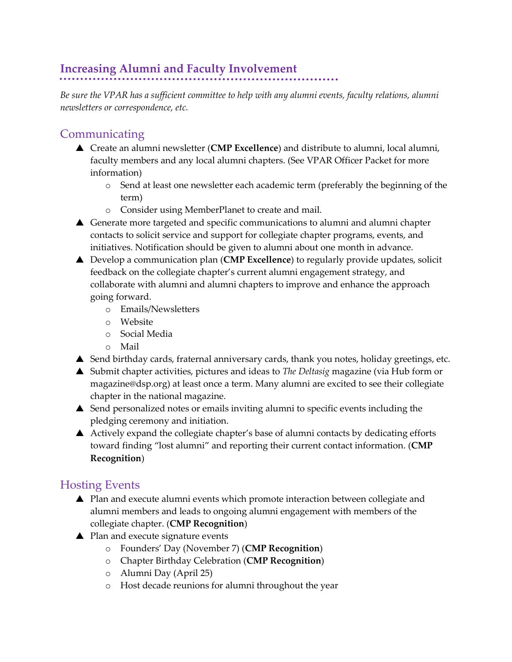# **Increasing Alumni and Faculty Involvement**

*Be sure the VPAR has a sufficient committee to help with any alumni events, faculty relations, alumni newsletters or correspondence, etc.*

#### Communicating

- Create an alumni newsletter (**CMP Excellence**) and distribute to alumni, local alumni, faculty members and any local alumni chapters. (See VPAR Officer Packet for more information)
	- $\circ$  Send at least one newsletter each academic term (preferably the beginning of the term)
	- o Consider using MemberPlanet to create and mail.
- Generate more targeted and specific communications to alumni and alumni chapter contacts to solicit service and support for collegiate chapter programs, events, and initiatives. Notification should be given to alumni about one month in advance.
- Develop a communication plan (**CMP Excellence**) to regularly provide updates, solicit feedback on the collegiate chapter's current alumni engagement strategy, and collaborate with alumni and alumni chapters to improve and enhance the approach going forward.
	- o Emails/Newsletters
	- o Website
	- o Social Media
	- o Mail
- Send birthday cards, fraternal anniversary cards, thank you notes, holiday greetings, etc.
- Submit chapter activities, pictures and ideas to *The Deltasig* magazine (via Hub form or magazine@dsp.org) at least once a term. Many alumni are excited to see their collegiate chapter in the national magazine.
- ▲ Send personalized notes or emails inviting alumni to specific events including the pledging ceremony and initiation.
- Actively expand the collegiate chapter's base of alumni contacts by dedicating efforts toward finding "lost alumni" and reporting their current contact information. (**CMP Recognition**)

## Hosting Events

- ▲ Plan and execute alumni events which promote interaction between collegiate and alumni members and leads to ongoing alumni engagement with members of the collegiate chapter. (**CMP Recognition**)
- **▲** Plan and execute signature events
	- o Founders' Day (November 7) (**CMP Recognition**)
	- o Chapter Birthday Celebration (**CMP Recognition**)
	- o Alumni Day (April 25)
	- o Host decade reunions for alumni throughout the year